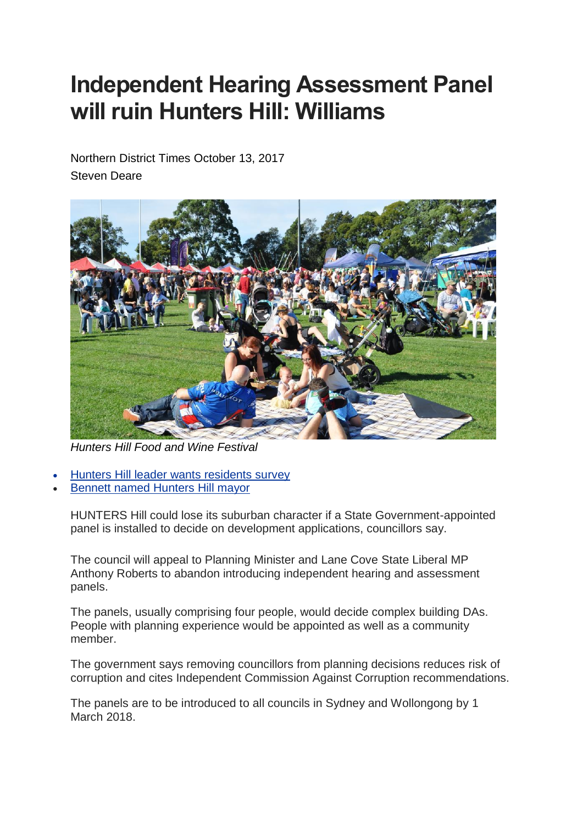## **Independent Hearing Assessment Panel will ruin Hunters Hill: Williams**

Northern District Times October 13, 2017 Steven Deare



*Hunters Hill Food and Wine Festival*

- Hunters Hill leader wants [residents](http://www.dailytelegraph.com.au/newslocal/northern-district-times/mark-bennett-to-lead-hunters-hill-council/news-story/3eca4c22e0dc830a191634b58a8305c2) survey
- Bennett named [Hunters](http://www.dailytelegraph.com.au/newslocal/northern-district-times/preferential-votes-see-independent-mark-bennett-take-mayoralty-ahead-of-liberal-zac-miles/news-story/0a51a28ed8fc4bccd9ae6528059bbb5b) Hill mayor

HUNTERS Hill could lose its suburban character if a State Government-appointed panel is installed to decide on development applications, councillors say.

The council will appeal to Planning Minister and Lane Cove State Liberal MP Anthony Roberts to abandon introducing independent hearing and assessment panels.

The panels, usually comprising four people, would decide complex building DAs. People with planning experience would be appointed as well as a community member.

The government says removing councillors from planning decisions reduces risk of corruption and cites Independent Commission Against Corruption recommendations.

The panels are to be introduced to all councils in Sydney and Wollongong by 1 March 2018.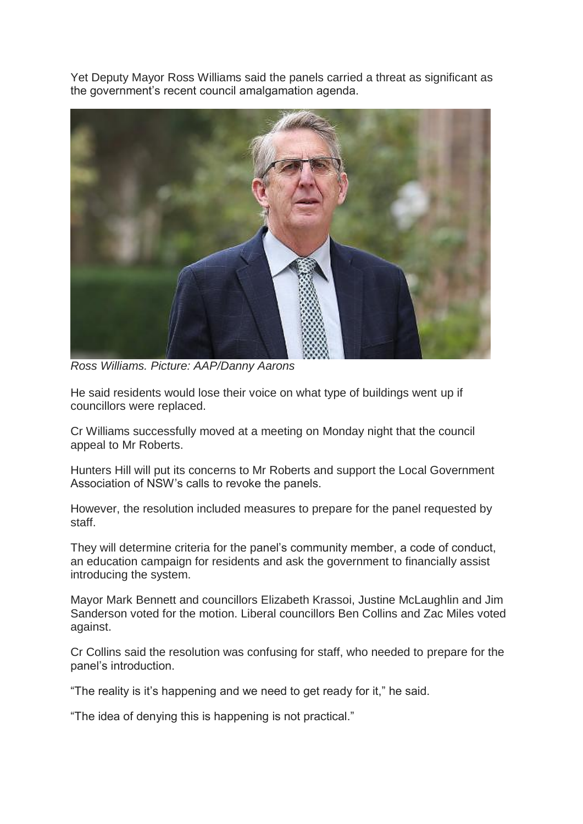Yet Deputy Mayor Ross Williams said the panels carried a threat as significant as the government's recent council amalgamation agenda.



*Ross Williams. Picture: AAP/Danny Aarons*

He said residents would lose their voice on what type of buildings went up if councillors were replaced.

Cr Williams successfully moved at a meeting on Monday night that the council appeal to Mr Roberts.

Hunters Hill will put its concerns to Mr Roberts and support the Local Government Association of NSW's calls to revoke the panels.

However, the resolution included measures to prepare for the panel requested by staff.

They will determine criteria for the panel's community member, a code of conduct, an education campaign for residents and ask the government to financially assist introducing the system.

Mayor Mark Bennett and councillors Elizabeth Krassoi, Justine McLaughlin and Jim Sanderson voted for the motion. Liberal councillors Ben Collins and Zac Miles voted against.

Cr Collins said the resolution was confusing for staff, who needed to prepare for the panel's introduction.

"The reality is it's happening and we need to get ready for it," he said.

"The idea of denying this is happening is not practical."